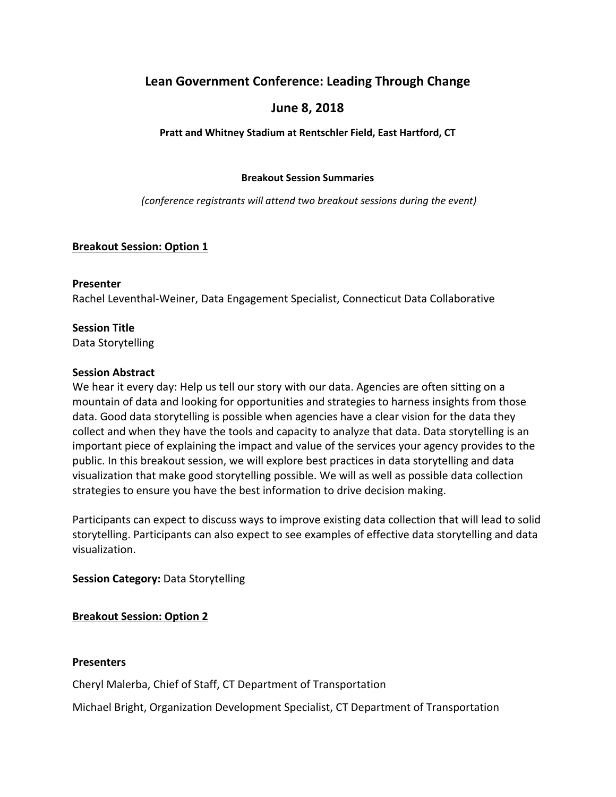# **Lean Government Conference: Leading Through Change**

# **June 8, 2018**

### **Pratt and Whitney Stadium at Rentschler Field, East Hartford, CT**

#### **Breakout Session Summaries**

*(conference registrants will attend two breakout sessions during the event)*

### **Breakout Session: Option 1**

#### **Presenter**

Rachel Leventhal‐Weiner, Data Engagement Specialist, Connecticut Data Collaborative

### **Session Title**

Data Storytelling

### **Session Abstract**

We hear it every day: Help us tell our story with our data. Agencies are often sitting on a mountain of data and looking for opportunities and strategies to harness insights from those data. Good data storytelling is possible when agencies have a clear vision for the data they collect and when they have the tools and capacity to analyze that data. Data storytelling is an important piece of explaining the impact and value of the services your agency provides to the public. In this breakout session, we will explore best practices in data storytelling and data visualization that make good storytelling possible. We will as well as possible data collection strategies to ensure you have the best information to drive decision making.

Participants can expect to discuss ways to improve existing data collection that will lead to solid storytelling. Participants can also expect to see examples of effective data storytelling and data visualization.

# **Session Category:** Data Storytelling

# **Breakout Session: Option 2**

### **Presenters**

Cheryl Malerba, Chief of Staff, CT Department of Transportation

Michael Bright, Organization Development Specialist, CT Department of Transportation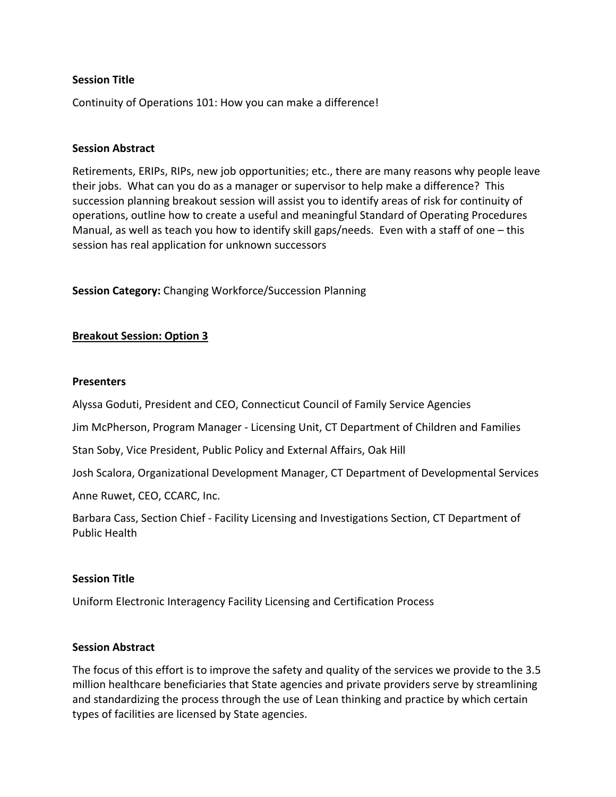#### **Session Title**

Continuity of Operations 101: How you can make a difference!

#### **Session Abstract**

Retirements, ERIPs, RIPs, new job opportunities; etc., there are many reasons why people leave their jobs. What can you do as a manager or supervisor to help make a difference? This succession planning breakout session will assist you to identify areas of risk for continuity of operations, outline how to create a useful and meaningful Standard of Operating Procedures Manual, as well as teach you how to identify skill gaps/needs. Even with a staff of one – this session has real application for unknown successors

**Session Category:** Changing Workforce/Succession Planning

#### **Breakout Session: Option 3**

#### **Presenters**

Alyssa Goduti, President and CEO, Connecticut Council of Family Service Agencies

Jim McPherson, Program Manager ‐ Licensing Unit, CT Department of Children and Families

Stan Soby, Vice President, Public Policy and External Affairs, Oak Hill

Josh Scalora, Organizational Development Manager, CT Department of Developmental Services

Anne Ruwet, CEO, CCARC, Inc.

Barbara Cass, Section Chief ‐ Facility Licensing and Investigations Section, CT Department of Public Health

### **Session Title**

Uniform Electronic Interagency Facility Licensing and Certification Process

#### **Session Abstract**

The focus of this effort is to improve the safety and quality of the services we provide to the 3.5 million healthcare beneficiaries that State agencies and private providers serve by streamlining and standardizing the process through the use of Lean thinking and practice by which certain types of facilities are licensed by State agencies.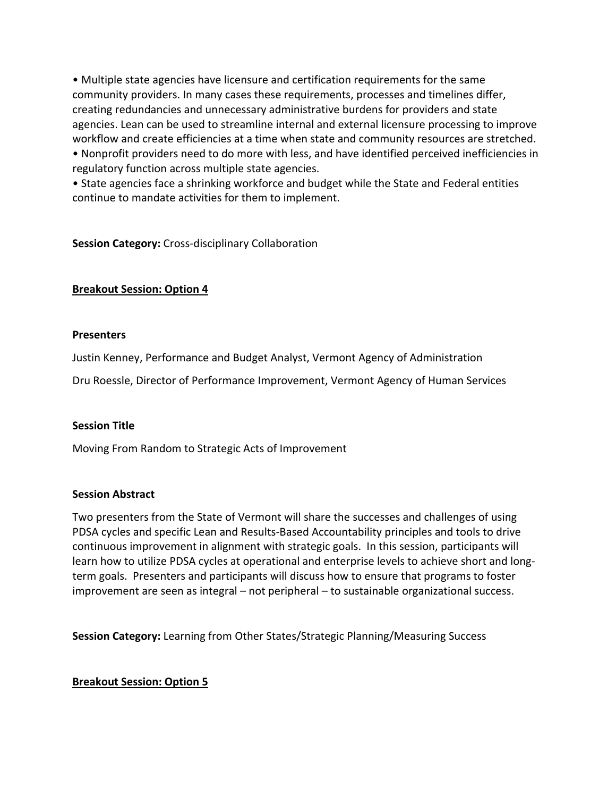• Multiple state agencies have licensure and certification requirements for the same community providers. In many cases these requirements, processes and timelines differ, creating redundancies and unnecessary administrative burdens for providers and state agencies. Lean can be used to streamline internal and external licensure processing to improve workflow and create efficiencies at a time when state and community resources are stretched. • Nonprofit providers need to do more with less, and have identified perceived inefficiencies in regulatory function across multiple state agencies.

• State agencies face a shrinking workforce and budget while the State and Federal entities continue to mandate activities for them to implement.

**Session Category:** Cross‐disciplinary Collaboration

### **Breakout Session: Option 4**

### **Presenters**

Justin Kenney, Performance and Budget Analyst, Vermont Agency of Administration

Dru Roessle, Director of Performance Improvement, Vermont Agency of Human Services

### **Session Title**

Moving From Random to Strategic Acts of Improvement

### **Session Abstract**

Two presenters from the State of Vermont will share the successes and challenges of using PDSA cycles and specific Lean and Results‐Based Accountability principles and tools to drive continuous improvement in alignment with strategic goals. In this session, participants will learn how to utilize PDSA cycles at operational and enterprise levels to achieve short and long‐ term goals. Presenters and participants will discuss how to ensure that programs to foster improvement are seen as integral – not peripheral – to sustainable organizational success.

**Session Category:** Learning from Other States/Strategic Planning/Measuring Success

### **Breakout Session: Option 5**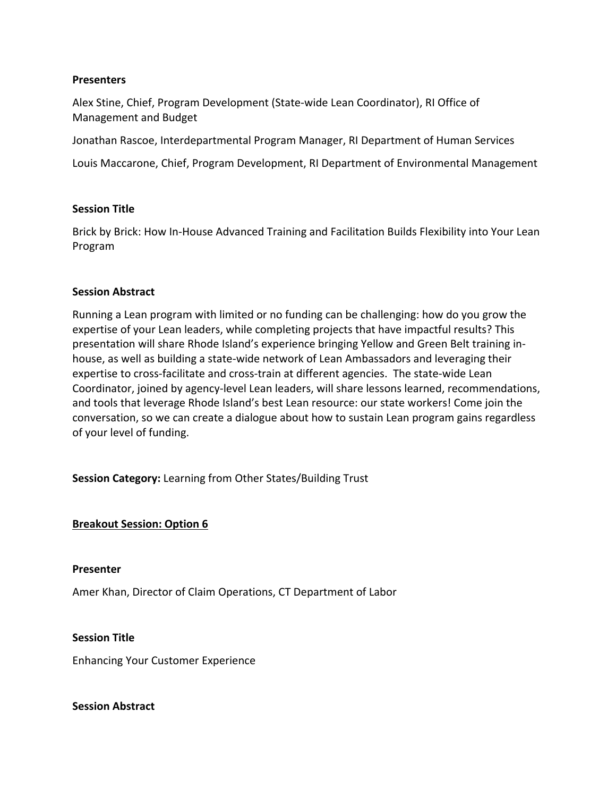#### **Presenters**

Alex Stine, Chief, Program Development (State‐wide Lean Coordinator), RI Office of Management and Budget

Jonathan Rascoe, Interdepartmental Program Manager, RI Department of Human Services

Louis Maccarone, Chief, Program Development, RI Department of Environmental Management

### **Session Title**

Brick by Brick: How In‐House Advanced Training and Facilitation Builds Flexibility into Your Lean Program

#### **Session Abstract**

Running a Lean program with limited or no funding can be challenging: how do you grow the expertise of your Lean leaders, while completing projects that have impactful results? This presentation will share Rhode Island's experience bringing Yellow and Green Belt training in‐ house, as well as building a state‐wide network of Lean Ambassadors and leveraging their expertise to cross‐facilitate and cross‐train at different agencies. The state‐wide Lean Coordinator, joined by agency‐level Lean leaders, will share lessons learned, recommendations, and tools that leverage Rhode Island's best Lean resource: our state workers! Come join the conversation, so we can create a dialogue about how to sustain Lean program gains regardless of your level of funding.

**Session Category:** Learning from Other States/Building Trust

### **Breakout Session: Option 6**

#### **Presenter**

Amer Khan, Director of Claim Operations, CT Department of Labor

**Session Title**

Enhancing Your Customer Experience

**Session Abstract**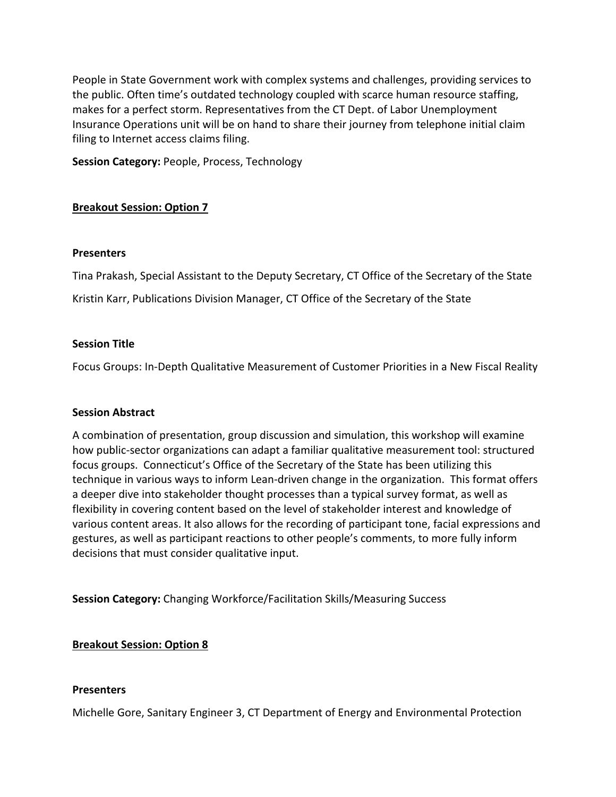People in State Government work with complex systems and challenges, providing services to the public. Often time's outdated technology coupled with scarce human resource staffing, makes for a perfect storm. Representatives from the CT Dept. of Labor Unemployment Insurance Operations unit will be on hand to share their journey from telephone initial claim filing to Internet access claims filing.

**Session Category:** People, Process, Technology

# **Breakout Session: Option 7**

### **Presenters**

Tina Prakash, Special Assistant to the Deputy Secretary, CT Office of the Secretary of the State Kristin Karr, Publications Division Manager, CT Office of the Secretary of the State

### **Session Title**

Focus Groups: In‐Depth Qualitative Measurement of Customer Priorities in a New Fiscal Reality

# **Session Abstract**

A combination of presentation, group discussion and simulation, this workshop will examine how public‐sector organizations can adapt a familiar qualitative measurement tool: structured focus groups. Connecticut's Office of the Secretary of the State has been utilizing this technique in various ways to inform Lean‐driven change in the organization. This format offers a deeper dive into stakeholder thought processes than a typical survey format, as well as flexibility in covering content based on the level of stakeholder interest and knowledge of various content areas. It also allows for the recording of participant tone, facial expressions and gestures, as well as participant reactions to other people's comments, to more fully inform decisions that must consider qualitative input.

**Session Category:** Changing Workforce/Facilitation Skills/Measuring Success

# **Breakout Session: Option 8**

### **Presenters**

Michelle Gore, Sanitary Engineer 3, CT Department of Energy and Environmental Protection